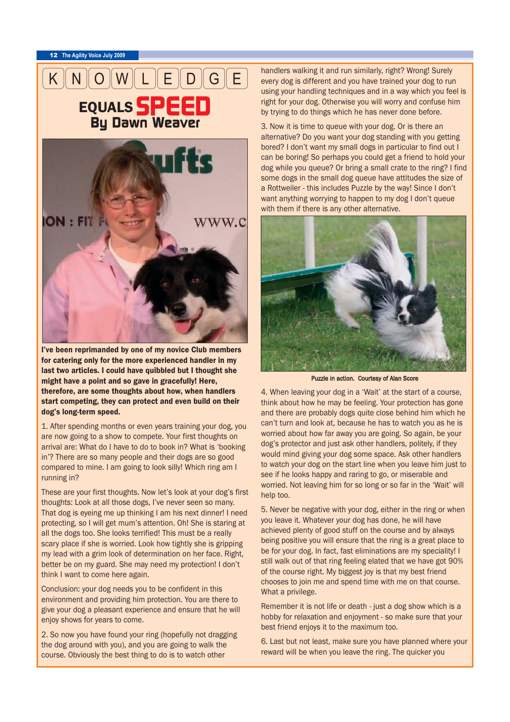<sup>12</sup> **The Agility Voice July 2009**



I've been reprimanded by one of my novice Club members for catering only for the more experienced handler in my last two articles. I could have quibbled but I thought she might have a point and so gave in gracefully! Here, therefore, are some thoughts about how, when handlers start competing, they can protect and even build on their dog's long-term speed.

1. After spending months or even years training your dog, you are now going to a show to compete. Your first thoughts on arrival are: What do I have to do to book in? What is 'booking in'? There are so many people and their dogs are so good compared to mine. I am going to look silly! Which ring am I running in?

These are your first thoughts. Now let's look at your dog's first thoughts: Look at all those dogs, I've never seen so many. That dog is eyeing me up thinking I am his next dinner! I need protecting, so I will get mum's attention. Oh! She is staring at all the dogs too. She looks terrified! This must be a really scary place if she is worried. Look how tightly she is gripping my lead with a grim look of determination on her face. Right, better be on my guard. She may need my protection! I don't think I want to come here again.

Conclusion: your dog needs you to be confident in this environment and providing him protection. You are there to give your dog a pleasant experience and ensure that he will enjoy shows for years to come.

2. So now you have found your ring (hopefully not dragging the dog around with you), and you are going to walk the course. Obviously the best thing to do is to watch other

handlers walking it and run similarly, right? Wrong! Surely every dog is different and you have trained your dog to run using your handling techniques and in a way which you feel is right for your dog. Otherwise you will worry and confuse him by trying to do things which he has never done before.

3. Now it is time to queue with your dog. Or is there an alternative? Do you want your dog standing with you getting bored? I don't want my small dogs in particular to find out I can be boring! So perhaps you could get a friend to hold your dog while you queue? Or bring a small crate to the ring? I find some dogs in the small dog queue have attitudes the size of a Rottweiler - this includes Puzzle by the way! Since I don't want anything worrying to happen to my dog I don't queue with them if there is any other alternative.



Puzzle in action. Courtesy of Alan Score

4. When leaving your dog in a 'Wait' at the start of a course, think about how he may be feeling. Your protection has gone and there are probably dogs quite close behind him which he can't turn and look at, because he has to watch you as he is worried about how far away you are going. So again, be your dog's protector and just ask other handlers, politely, if they would mind giving your dog some space. Ask other handlers to watch your dog on the start line when you leave him just to see if he looks happy and raring to go, or miserable and worried. Not leaving him for so long or so far in the 'Wait' will help too.

5. Never be negative with your dog, either in the ring or when you leave it. Whatever your dog has done, he will have achieved plenty of good stuff on the course and by always being positive you will ensure that the ring is a great place to be for your dog. In fact, fast eliminations are my speciality! I still walk out of that ring feeling elated that we have got 90% of the course right. My biggest joy is that my best friend chooses to join me and spend time with me on that course. What a privilege.

Remember it is not life or death - just a dog show which is a hobby for relaxation and enjoyment - so make sure that your best friend enjoys it to the maximum too.

6. Last but not least, make sure you have planned where your reward will be when you leave the ring. The quicker you